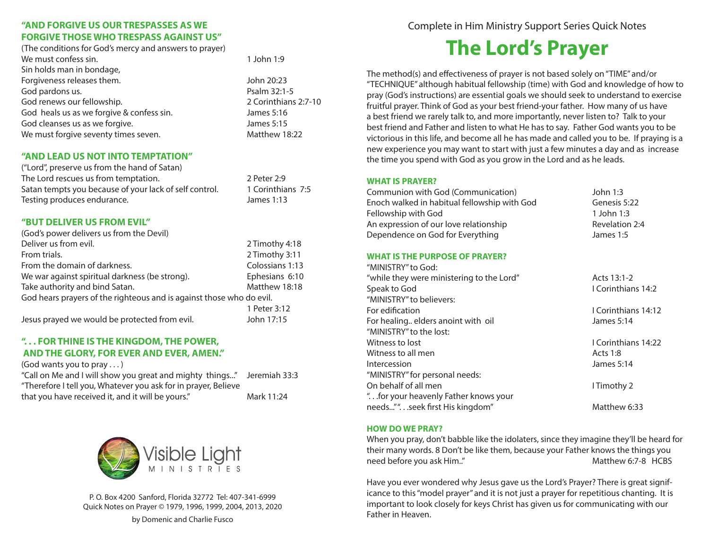# **"AND FORGIVE US OUR TRESPASSES AS WE FORGIVE THOSE WHO TRESPASS AGAINST US"**

(The conditions for God's mercy and answers to prayer) We must confess sin. The must confess sin. The must confess sin. The must confess sin. The must confess sin. The must confess sin. The must confess sin. The must confess sin. The must confess sin. The must confess sin. The Sin holds man in bondage, Forgiveness releases them. The state of the state of the state of the state of the state of the state of the state of the state of the state of the state of the state of the state of the state of the state of the state of God pardons us. **Psalm 32:1-5** God renews our fellowship.  $\sim$  2 Corinthians 2:7-10 God heals us as we forgive & confess sin. James 5:16 God cleanses us as we forgive. The state of the state of the state of the state of the state of the State of the State of the State of the State of the State of the State of the State of the State of the State of the State We must forgive seventy times seven. Matthew 18:22

## **"AND LEAD US NOT INTO TEMPTATION"**

("Lord", preserve us from the hand of Satan) The Lord rescues us from temptation. 2 Peter 2:9 Satan tempts you because of your lack of self control. 1 Corinthians 7:5 Testing produces endurance. James 1:13

## **"BUT DELIVER US FROM EVIL"**

| (God's power delivers us from the Devil)                             |                 |
|----------------------------------------------------------------------|-----------------|
| Deliver us from evil.                                                | 2 Timothy 4:18  |
| From trials.                                                         | 2 Timothy 3:11  |
| From the domain of darkness.                                         | Colossians 1:13 |
| We war against spiritual darkness (be strong).                       | Ephesians 6:10  |
| Take authority and bind Satan.                                       | Matthew 18:18   |
| God hears prayers of the righteous and is against those who do evil. |                 |
|                                                                      | 1 Peter 3:12    |
| Jesus prayed we would be protected from evil.                        | John 17:15      |

# **". . . FOR THINE IS THE KINGDOM, THE POWER, AND THE GLORY, FOR EVER AND EVER, AMEN."**

(God wants you to pray . . . )

"Call on Me and I will show you great and mighty things..." Jeremiah 33:3 "Therefore I tell you, Whatever you ask for in prayer, Believe that you have received it, and it will be yours." Mark 11:24



P. O. Box 4200 Sanford, Florida 32772 Tel: 407-341-6999 Quick Notes on Prayer © 1979, 1996, 1999, 2004, 2013, 2020

by Domenic and Charlie Fusco

Complete in Him Ministry Support Series Quick Notes

# **The Lord's Prayer**

The method(s) and effectiveness of prayer is not based solely on "TIME" and/or "TECHNIQUE" although habitual fellowship (time) with God and knowledge of how to pray (God's instructions) are essential goals we should seek to understand to exercise fruitful prayer. Think of God as your best friend-your father. How many of us have a best friend we rarely talk to, and more importantly, never listen to? Talk to your best friend and Father and listen to what He has to say. Father God wants you to be victorious in this life, and become all he has made and called you to be. If praying is a new experience you may want to start with just a few minutes a day and as increase the time you spend with God as you grow in the Lord and as he leads.

#### **WHAT IS PRAYER?**

| Communion with God (Communication)                          | John 1:3            |
|-------------------------------------------------------------|---------------------|
| Enoch walked in habitual fellowship with God                | Genesis 5:22        |
| Fellowship with God                                         | 1 John 1:3          |
| An expression of our love relationship                      | Revelation 2:4      |
| Dependence on God for Everything                            | James 1:5           |
| <b>WHAT IS THE PURPOSE OF PRAYER?</b><br>"MINISTRY" to God: |                     |
| "while they were ministering to the Lord"                   | Acts 13:1-2         |
| Speak to God                                                | I Corinthians 14:2  |
| "MINISTRY" to believers:                                    |                     |
| For edification                                             | I Corinthians 14:12 |
|                                                             |                     |

| For edification                       | TCOMMUNICITY 14:12  |
|---------------------------------------|---------------------|
| For healing elders anoint with oil    | James 5:14          |
| "MINISTRY" to the lost:               |                     |
| Witness to lost                       | I Corinthians 14:22 |
| Witness to all men                    | Acts 1:8            |
| <b>Intercession</b>                   | James 5:14          |
| "MINISTRY" for personal needs:        |                     |
| On behalf of all men                  | I Timothy 2         |
| " for your heavenly Father knows your |                     |
| needs"".seek first His kingdom"       | Matthew 6:33        |
|                                       |                     |

## **HOW DO WE PRAY?**

When you pray, don't babble like the idolaters, since they imagine they'll be heard for their many words. 8 Don't be like them, because your Father knows the things you need before you ask Him.." The matthew 6:7-8 HCBS

Have you ever wondered why Jesus gave us the Lord's Prayer? There is great significance to this "model prayer" and it is not just a prayer for repetitious chanting. It is important to look closely for keys Christ has given us for communicating with our Father in Heaven.